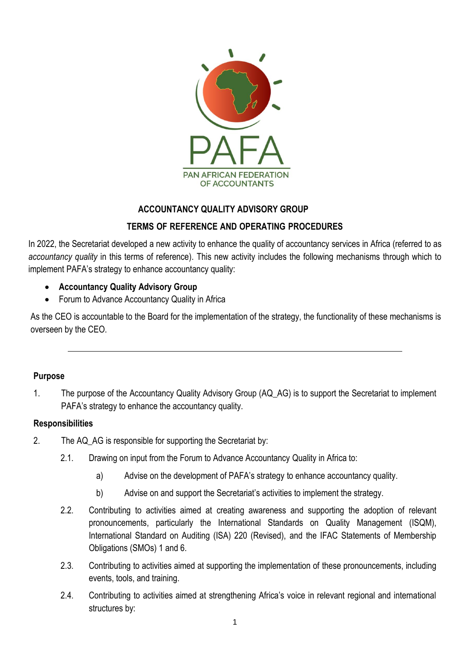

## **ACCOUNTANCY QUALITY ADVISORY GROUP**

## **TERMS OF REFERENCE AND OPERATING PROCEDURES**

In 2022, the Secretariat developed a new activity to enhance the quality of accountancy services in Africa (referred to as *accountancy quality* in this terms of reference). This new activity includes the following mechanisms through which to implement PAFA's strategy to enhance accountancy quality:

- **Accountancy Quality Advisory Group**
- Forum to Advance Accountancy Quality in Africa

As the CEO is accountable to the Board for the implementation of the strategy, the functionality of these mechanisms is overseen by the CEO.

### **Purpose**

1. The purpose of the Accountancy Quality Advisory Group (AQ\_AG) is to support the Secretariat to implement PAFA's strategy to enhance the accountancy quality.

### **Responsibilities**

- 2. The AQ AG is responsible for supporting the Secretariat by:
	- 2.1. Drawing on input from the Forum to Advance Accountancy Quality in Africa to:
		- a) Advise on the development of PAFA's strategy to enhance accountancy quality.
		- b) Advise on and support the Secretariat's activities to implement the strategy.
	- 2.2. Contributing to activities aimed at creating awareness and supporting the adoption of relevant pronouncements, particularly the International Standards on Quality Management (ISQM), International Standard on Auditing (ISA) 220 (Revised), and the IFAC Statements of Membership Obligations (SMOs) 1 and 6.
	- 2.3. Contributing to activities aimed at supporting the implementation of these pronouncements, including events, tools, and training.
	- 2.4. Contributing to activities aimed at strengthening Africa's voice in relevant regional and international structures by: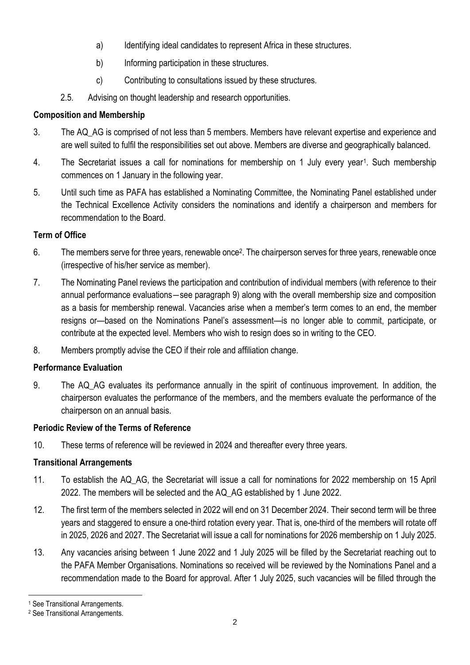- a) Identifying ideal candidates to represent Africa in these structures.
- b) Informing participation in these structures.
- c) Contributing to consultations issued by these structures.
- 2.5. Advising on thought leadership and research opportunities.

# **Composition and Membership**

- 3. The AQ\_AG is comprised of not less than 5 members. Members have relevant expertise and experience and are well suited to fulfil the responsibilities set out above. Members are diverse and geographically balanced.
- 4. The Secretariat issues a call for nominations for membership on 1 July every year<sup>1</sup>. Such membership commences on 1 January in the following year.
- 5. Until such time as PAFA has established a Nominating Committee, the Nominating Panel established under the Technical Excellence Activity considers the nominations and identify a chairperson and members for recommendation to the Board.

## **Term of Office**

- 6. The members serve for three years, renewable once<sup>2</sup>. The chairperson serves for three years, renewable once (irrespective of his/her service as member).
- 7. The Nominating Panel reviews the participation and contribution of individual members (with reference to their annual performance evaluations―see paragraph 9) along with the overall membership size and composition as a basis for membership renewal. Vacancies arise when a member's term comes to an end, the member resigns or—based on the Nominations Panel's assessment—is no longer able to commit, participate, or contribute at the expected level. Members who wish to resign does so in writing to the CEO.
- 8. Members promptly advise the CEO if their role and affiliation change.

# **Performance Evaluation**

9. The AQ\_AG evaluates its performance annually in the spirit of continuous improvement. In addition, the chairperson evaluates the performance of the members, and the members evaluate the performance of the chairperson on an annual basis.

# **Periodic Review of the Terms of Reference**

10. These terms of reference will be reviewed in 2024 and thereafter every three years.

# **Transitional Arrangements**

- 11. To establish the AQ\_AG, the Secretariat will issue a call for nominations for 2022 membership on 15 April 2022. The members will be selected and the AQ\_AG established by 1 June 2022.
- 12. The first term of the members selected in 2022 will end on 31 December 2024. Their second term will be three years and staggered to ensure a one-third rotation every year. That is, one-third of the members will rotate off in 2025, 2026 and 2027. The Secretariat will issue a call for nominations for 2026 membership on 1 July 2025.
- 13. Any vacancies arising between 1 June 2022 and 1 July 2025 will be filled by the Secretariat reaching out to the PAFA Member Organisations. Nominations so received will be reviewed by the Nominations Panel and a recommendation made to the Board for approval. After 1 July 2025, such vacancies will be filled through the

<sup>1</sup> See Transitional Arrangements.

<sup>2</sup> See Transitional Arrangements.